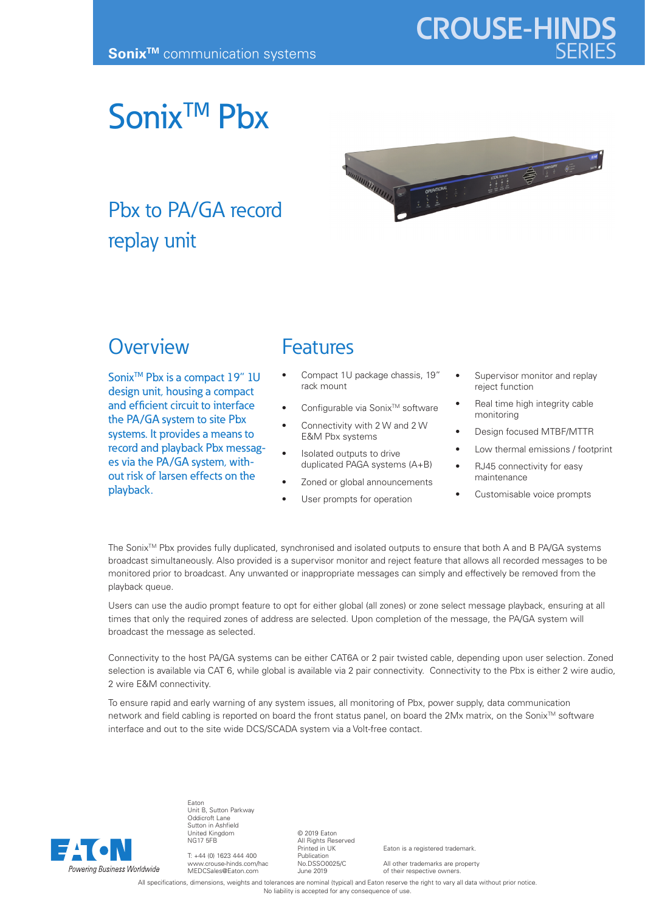# Sonix<sup>™</sup> Pbx



## Pbx to PA/GA record replay unit

### **Overview**

Sonix<sup>™</sup> Pbx is a compact 19" 1U design unit, housing a compact and efficient circuit to interface the PA/GA system to site Pbx systems. It provides a means to record and playback Pbx messages via the PA/GA system, without risk of larsen effects on the playback.

#### Features

- Compact 1U package chassis, 19" rack mount
- Configurable via Sonix™ software
- Connectivity with 2 W and 2 W E&M Pbx systems
- Isolated outputs to drive duplicated PAGA systems (A+B)
- Zoned or global announcements
- User prompts for operation
- Supervisor monitor and replay reject function
- Real time high integrity cable monitoring
- Design focused MTBF/MTTR
- Low thermal emissions / footprint
- RJ45 connectivity for easy maintenance
- Customisable voice prompts

The Sonix<sup>™</sup> Pbx provides fully duplicated, synchronised and isolated outputs to ensure that both A and B PA/GA systems broadcast simultaneously. Also provided is a supervisor monitor and reject feature that allows all recorded messages to be monitored prior to broadcast. Any unwanted or inappropriate messages can simply and effectively be removed from the playback queue.

Users can use the audio prompt feature to opt for either global (all zones) or zone select message playback, ensuring at all times that only the required zones of address are selected. Upon completion of the message, the PA/GA system will broadcast the message as selected.

Connectivity to the host PA/GA systems can be either CAT6A or 2 pair twisted cable, depending upon user selection. Zoned selection is available via CAT 6, while global is available via 2 pair connectivity. Connectivity to the Pbx is either 2 wire audio, 2 wire E&M connectivity.

To ensure rapid and early warning of any system issues, all monitoring of Pbx, power supply, data communication network and field cabling is reported on board the front status panel, on board the 2Mx matrix, on the Sonix™ software interface and out to the site wide DCS/SCADA system via a Volt-free contact.



Eaton Unit B, Sutton Parkway Oddicroft Lane Sutton in Ashfield United Kingdom NG17 5FB

T: +44 (0) 1623 444 400 www.crouse-hinds.com/hac MEDCSales@Eaton.com

© 2019 Eaton All Rights Reserved Printed in UK Publication No.DSSO0025/C June 2019

Eaton is a registered trademark.

All other trademarks are property of their respective owners.

All specifications, dimensions, weights and tolerances are nominal (typical) and Eaton reserve the right to vary all data without prior notice No liability is accepted for any consequence of use.